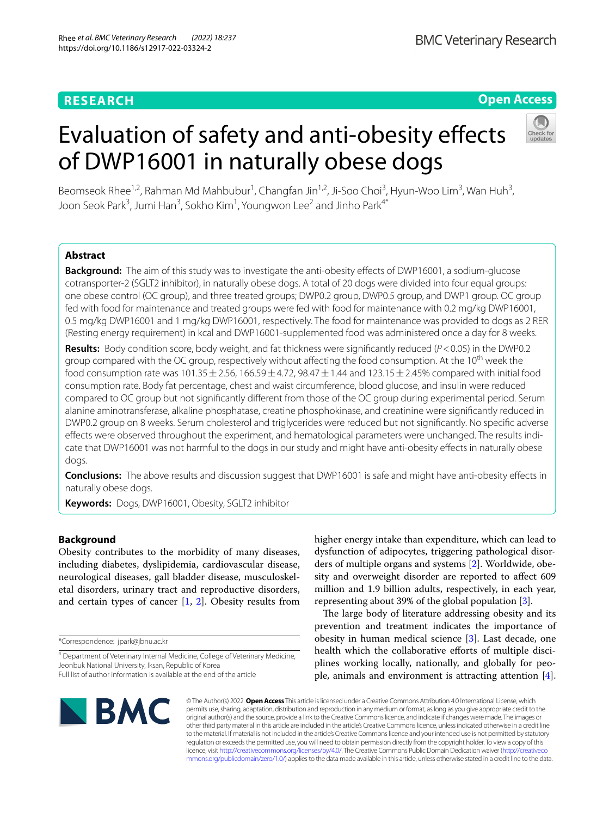# **Open Access**

# Evaluation of safety and anti-obesity effects of DWP16001 in naturally obese dogs



Beomseok Rhee<sup>1,2</sup>, Rahman Md Mahbubur<sup>1</sup>, Changfan Jin<sup>1,2</sup>, Ji-Soo Choi<sup>3</sup>, Hyun-Woo Lim<sup>3</sup>, Wan Huh<sup>3</sup>, Joon Seok Park<sup>3</sup>, Jumi Han<sup>3</sup>, Sokho Kim<sup>1</sup>, Youngwon Lee<sup>2</sup> and Jinho Park<sup>4\*</sup>

# **Abstract**

**Background:** The aim of this study was to investigate the anti-obesity effects of DWP16001, a sodium-glucose cotransporter-2 (SGLT2 inhibitor), in naturally obese dogs. A total of 20 dogs were divided into four equal groups: one obese control (OC group), and three treated groups; DWP0.2 group, DWP0.5 group, and DWP1 group. OC group fed with food for maintenance and treated groups were fed with food for maintenance with 0.2 mg/kg DWP16001, 0.5 mg/kg DWP16001 and 1 mg/kg DWP16001, respectively. The food for maintenance was provided to dogs as 2 RER (Resting energy requirement) in kcal and DWP16001-supplemented food was administered once a day for 8 weeks.

**Results:** Body condition score, body weight, and fat thickness were signifcantly reduced (*P*<0.05) in the DWP0.2 group compared with the OC group, respectively without affecting the food consumption. At the 10<sup>th</sup> week the food consumption rate was  $101.35 \pm 2.56$ ,  $166.59 \pm 4.72$ ,  $98.47 \pm 1.44$  and  $123.15 \pm 2.45$ % compared with initial food consumption rate. Body fat percentage, chest and waist circumference, blood glucose, and insulin were reduced compared to OC group but not signifcantly diferent from those of the OC group during experimental period. Serum alanine aminotransferase, alkaline phosphatase, creatine phosphokinase, and creatinine were signifcantly reduced in DWP0.2 group on 8 weeks. Serum cholesterol and triglycerides were reduced but not signifcantly. No specifc adverse effects were observed throughout the experiment, and hematological parameters were unchanged. The results indicate that DWP16001 was not harmful to the dogs in our study and might have anti-obesity efects in naturally obese dogs.

**Conclusions:** The above results and discussion suggest that DWP16001 is safe and might have anti-obesity efects in naturally obese dogs.

**Keywords:** Dogs, DWP16001, Obesity, SGLT2 inhibitor

# **Background**

Obesity contributes to the morbidity of many diseases, including diabetes, dyslipidemia, cardiovascular disease, neurological diseases, gall bladder disease, musculoskeletal disorders, urinary tract and reproductive disorders, and certain types of cancer  $[1, 2]$  $[1, 2]$  $[1, 2]$ . Obesity results from

\*Correspondence: jpark@jbnu.ac.kr

higher energy intake than expenditure, which can lead to dysfunction of adipocytes, triggering pathological disorders of multiple organs and systems [\[2](#page-6-1)]. Worldwide, obesity and overweight disorder are reported to afect 609 million and 1.9 billion adults, respectively, in each year, representing about 39% of the global population [[3\]](#page-6-2).

The large body of literature addressing obesity and its prevention and treatment indicates the importance of obesity in human medical science [\[3](#page-6-2)]. Last decade, one health which the collaborative efforts of multiple disciplines working locally, nationally, and globally for people, animals and environment is attracting attention [\[4](#page-6-3)].



© The Author(s) 2022. **Open Access** This article is licensed under a Creative Commons Attribution 4.0 International License, which permits use, sharing, adaptation, distribution and reproduction in any medium or format, as long as you give appropriate credit to the original author(s) and the source, provide a link to the Creative Commons licence, and indicate if changes were made. The images or other third party material in this article are included in the article's Creative Commons licence, unless indicated otherwise in a credit line to the material. If material is not included in the article's Creative Commons licence and your intended use is not permitted by statutory regulation or exceeds the permitted use, you will need to obtain permission directly from the copyright holder. To view a copy of this licence, visit [http://creativecommons.org/licenses/by/4.0/.](http://creativecommons.org/licenses/by/4.0/) The Creative Commons Public Domain Dedication waiver ([http://creativeco](http://creativecommons.org/publicdomain/zero/1.0/) [mmons.org/publicdomain/zero/1.0/](http://creativecommons.org/publicdomain/zero/1.0/)) applies to the data made available in this article, unless otherwise stated in a credit line to the data.

<sup>&</sup>lt;sup>4</sup> Department of Veterinary Internal Medicine, College of Veterinary Medicine, Jeonbuk National University, Iksan, Republic of Korea Full list of author information is available at the end of the article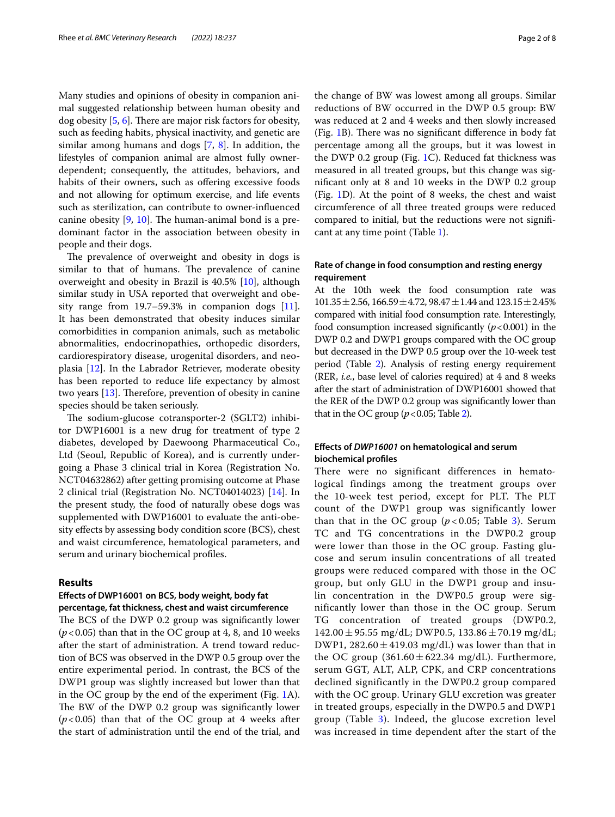Many studies and opinions of obesity in companion animal suggested relationship between human obesity and  $\log$  obesity [[5,](#page-6-4) [6](#page-6-5)]. There are major risk factors for obesity, such as feeding habits, physical inactivity, and genetic are similar among humans and dogs [[7,](#page-6-6) [8](#page-7-0)]. In addition, the lifestyles of companion animal are almost fully ownerdependent; consequently, the attitudes, behaviors, and habits of their owners, such as offering excessive foods and not allowing for optimum exercise, and life events such as sterilization, can contribute to owner-infuenced canine obesity  $[9, 10]$  $[9, 10]$  $[9, 10]$  $[9, 10]$ . The human-animal bond is a predominant factor in the association between obesity in people and their dogs.

The prevalence of overweight and obesity in dogs is similar to that of humans. The prevalence of canine overweight and obesity in Brazil is 40.5% [[10\]](#page-7-2), although similar study in USA reported that overweight and obesity range from  $19.7-59.3\%$  in companion dogs  $[11]$  $[11]$ . It has been demonstrated that obesity induces similar comorbidities in companion animals, such as metabolic abnormalities, endocrinopathies, orthopedic disorders, cardiorespiratory disease, urogenital disorders, and neoplasia [[12\]](#page-7-4). In the Labrador Retriever, moderate obesity has been reported to reduce life expectancy by almost two years  $[13]$  $[13]$ . Therefore, prevention of obesity in canine species should be taken seriously.

The sodium-glucose cotransporter-2 (SGLT2) inhibitor DWP16001 is a new drug for treatment of type 2 diabetes, developed by Daewoong Pharmaceutical Co., Ltd (Seoul, Republic of Korea), and is currently undergoing a Phase 3 clinical trial in Korea (Registration No. NCT04632862) after getting promising outcome at Phase 2 clinical trial (Registration No. NCT04014023) [\[14\]](#page-7-6). In the present study, the food of naturally obese dogs was supplemented with DWP16001 to evaluate the anti-obesity effects by assessing body condition score (BCS), chest and waist circumference, hematological parameters, and serum and urinary biochemical profles.

#### **Results**

# **Efects of DWP16001 on BCS, body weight, body fat percentage, fat thickness, chest and waist circumference**

The BCS of the DWP 0.2 group was significantly lower  $(p<0.05)$  than that in the OC group at 4, 8, and 10 weeks after the start of administration. A trend toward reduction of BCS was observed in the DWP 0.5 group over the entire experimental period. In contrast, the BCS of the DWP1 group was slightly increased but lower than that in the OC group by the end of the experiment (Fig. [1](#page-2-0)A). The BW of the DWP 0.2 group was significantly lower  $(p<0.05)$  than that of the OC group at 4 weeks after the start of administration until the end of the trial, and the change of BW was lowest among all groups. Similar reductions of BW occurred in the DWP 0.5 group: BW was reduced at 2 and 4 weeks and then slowly increased (Fig.  $1B$ ). There was no significant difference in body fat percentage among all the groups, but it was lowest in the DWP 0.2 group (Fig. [1C](#page-2-0)). Reduced fat thickness was measured in all treated groups, but this change was signifcant only at 8 and 10 weeks in the DWP 0.2 group (Fig. [1D](#page-2-0)). At the point of 8 weeks, the chest and waist circumference of all three treated groups were reduced compared to initial, but the reductions were not signifcant at any time point (Table [1\)](#page-3-0).

# **Rate of change in food consumption and resting energy requirement**

At the 10th week the food consumption rate was  $101.35 \pm 2.56$ ,  $166.59 \pm 4.72$ ,  $98.47 \pm 1.44$  and  $123.15 \pm 2.45\%$ compared with initial food consumption rate. Interestingly, food consumption increased significantly  $(p<0.001)$  in the DWP 0.2 and DWP1 groups compared with the OC group but decreased in the DWP 0.5 group over the 10-week test period (Table [2\)](#page-3-1). Analysis of resting energy requirement (RER, *i.e.*, base level of calories required) at 4 and 8 weeks after the start of administration of DWP16001 showed that the RER of the DWP 0.2 group was signifcantly lower than that in the OC group  $(p<0.05$ ; Table [2\)](#page-3-1).

# **Efects of** *DWP16001* **on hematological and serum biochemical profles**

There were no significant differences in hematological findings among the treatment groups over the 10-week test period, except for PLT. The PLT count of the DWP1 group was significantly lower than that in the OC group  $(p<0.05$ ; Table [3\)](#page-4-0). Serum TC and TG concentrations in the DWP0.2 group were lower than those in the OC group. Fasting glucose and serum insulin concentrations of all treated groups were reduced compared with those in the OC group, but only GLU in the DWP1 group and insulin concentration in the DWP0.5 group were significantly lower than those in the OC group. Serum TG concentration of treated groups (DWP0.2,  $142.00 \pm 95.55$  mg/dL; DWP0.5,  $133.86 \pm 70.19$  mg/dL; DWP1,  $282.60 \pm 419.03$  mg/dL) was lower than that in the OC group  $(361.60 \pm 622.34 \text{ mg/dL})$ . Furthermore, serum GGT, ALT, ALP, CPK, and CRP concentrations declined significantly in the DWP0.2 group compared with the OC group. Urinary GLU excretion was greater in treated groups, especially in the DWP0.5 and DWP1 group (Table [3\)](#page-4-0). Indeed, the glucose excretion level was increased in time dependent after the start of the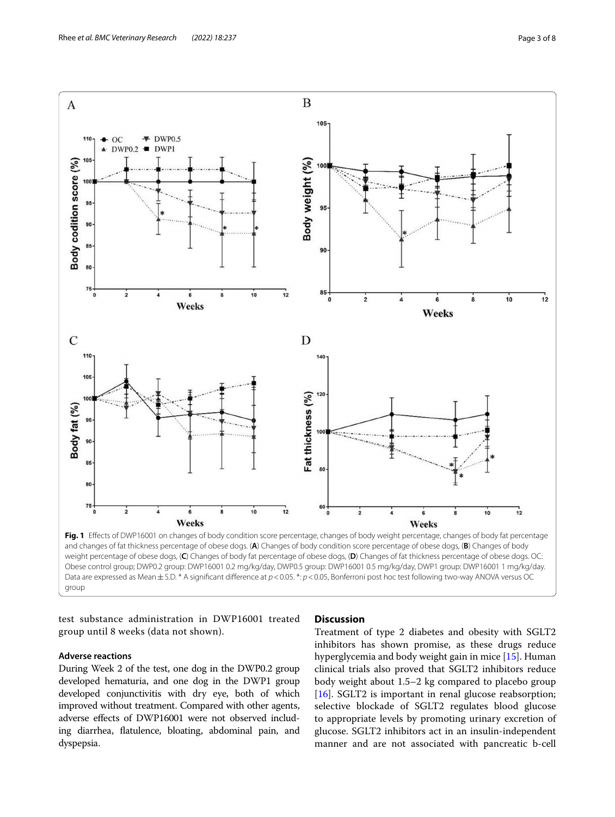

<span id="page-2-0"></span>and changes of fat thickness percentage of obese dogs. (**A**) Changes of body condition score percentage of obese dogs, (**B**) Changes of body weight percentage of obese dogs, (**C**) Changes of body fat percentage of obese dogs, (**D**) Changes of fat thickness percentage of obese dogs. OC: Obese control group; DWP0.2 group: DWP16001 0.2 mg/kg/day, DWP0.5 group: DWP16001 0.5 mg/kg/day, DWP1 group: DWP16001 1 mg/kg/day. Data are expressed as Mean ± S.D. \* A significant difference at  $p < 0.05$ . \*:  $p < 0.05$ , Bonferroni post hoc test following two-way ANOVA versus OC group

test substance administration in DWP16001 treated group until 8 weeks (data not shown).

# **Adverse reactions**

During Week 2 of the test, one dog in the DWP0.2 group developed hematuria, and one dog in the DWP1 group developed conjunctivitis with dry eye, both of which improved without treatment. Compared with other agents, adverse efects of DWP16001 were not observed including diarrhea, fatulence, bloating, abdominal pain, and dyspepsia.

# **Discussion**

Treatment of type 2 diabetes and obesity with SGLT2 inhibitors has shown promise, as these drugs reduce hyperglycemia and body weight gain in mice [\[15](#page-7-7)]. Human clinical trials also proved that SGLT2 inhibitors reduce body weight about 1.5–2 kg compared to placebo group [[16\]](#page-7-8). SGLT2 is important in renal glucose reabsorption; selective blockade of SGLT2 regulates blood glucose to appropriate levels by promoting urinary excretion of glucose. SGLT2 inhibitors act in an insulin-independent manner and are not associated with pancreatic b-cell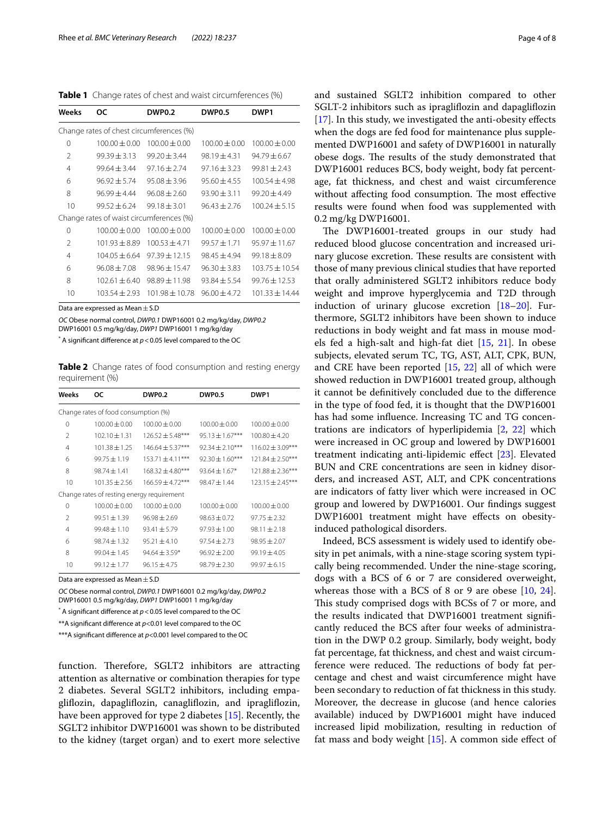<span id="page-3-0"></span>**Table 1** Change rates of chest and waist circumferences (%)

| Weeks                                    | 0C                | <b>DWP0.2</b>     | <b>DWP0.5</b>     | DWP <sub>1</sub>   |  |
|------------------------------------------|-------------------|-------------------|-------------------|--------------------|--|
| Change rates of chest circumferences (%) |                   |                   |                   |                    |  |
| 0                                        | $100.00 \pm 0.00$ | $100.00 \pm 0.00$ | $100.00 \pm 0.00$ | $100.00 \pm 0.00$  |  |
| $\mathfrak{D}$                           | $99.39 + 3.13$    | $99.20 + 3.44$    | $98.19 + 4.31$    | $94.79 + 6.67$     |  |
| 4                                        | $99.64 + 3.44$    | $97.16 + 2.74$    | $97.16 + 3.23$    | $99.81 + 2.43$     |  |
| 6                                        | $96.92 + 5.74$    | $95.08 + 3.96$    | $95.60 + 4.55$    | $100.54 + 4.98$    |  |
| 8                                        | $96.99 + 4.44$    | $96.08 + 2.60$    | $93.90 + 3.11$    | $99.20 + 4.49$     |  |
| 10                                       | $99.52 + 6.24$    | $99.18 + 3.01$    | $96.43 + 2.76$    | $100.24 \pm 5.15$  |  |
| Change rates of waist circumferences (%) |                   |                   |                   |                    |  |
| $\Omega$                                 | $100.00 + 0.00$   | $100.00 + 0.00$   | $100.00 \pm 0.00$ | $100.00 \pm 0.00$  |  |
| $\mathcal{P}$                            | $101.93 + 8.89$   | $10053 + 471$     | $99.57 + 1.71$    | $9597 + 1167$      |  |
| 4                                        | $104.05 + 6.64$   | $97.39 \pm 12.15$ | $98.45 + 4.94$    | $99.18 + 8.09$     |  |
| 6                                        | $96.08 + 7.08$    | $98.96 \pm 15.47$ | $96.30 \pm 3.83$  | $103.75 \pm 10.54$ |  |
| 8                                        | $102.61 + 6.40$   | $98.89 \pm 11.98$ | $93.84 + 5.54$    | $99.76 \pm 12.53$  |  |
| 10                                       | $103.54 + 2.93$   | $101.98 + 10.78$  | $96.00 + 4.72$    | $101.33 + 14.44$   |  |

Data are expressed as Mean + S.D

*OC* Obese normal control, *DWP0.1* DWP16001 0.2 mg/kg/day, *DWP0.2* DWP16001 0.5 mg/kg/day, *DWP1* DWP16001 1 mg/kg/day

 $^*$  A significant difference at  $p$  < 0.05 level compared to the OC

<span id="page-3-1"></span>**Table 2** Change rates of food consumption and resting energy requirement (%)

| Weeks                                      | oc              | <b>DWP0.2</b>        | <b>DWP0.5</b>     | DWP <sub>1</sub>     |  |
|--------------------------------------------|-----------------|----------------------|-------------------|----------------------|--|
| Change rates of food consumption (%)       |                 |                      |                   |                      |  |
| 0                                          | $100.00 + 0.00$ | $100.00 + 0.00$      | $100.00 + 0.00$   | $100.00 + 0.00$      |  |
| $\mathfrak{D}$                             | $102.10 + 1.31$ | $126.52 + 5.48***$   | $95.13 + 1.67***$ | $100.80 \pm 4.20$    |  |
| 4                                          | $101.38 + 1.25$ | $146.64 \pm 5.37***$ | $92.34 + 2.10***$ | $116.02 \pm 3.09***$ |  |
| 6                                          | $99.75 + 1.19$  | $153.71 + 4.11***$   | $92.30 + 1.60***$ | $121.84 \pm 2.50***$ |  |
| 8                                          | $98.74 + 1.41$  | $168.32 + 4.80***$   | $93.64 + 1.67*$   | $121.88 \pm 2.36***$ |  |
| 10                                         | $101.35 + 2.56$ | $166.59 + 4.72***$   | $98.47 + 1.44$    | $123.15 \pm 2.45***$ |  |
| Change rates of resting energy requirement |                 |                      |                   |                      |  |
| 0                                          | $100.00 + 0.00$ | $100.00 + 0.00$      | $100.00 + 0.00$   | $100.00 + 0.00$      |  |
| $\mathcal{P}$                              | $99.51 + 1.39$  | $96.98 + 2.69$       | $98.63 + 0.72$    | $97.75 + 2.32$       |  |
| 4                                          | $99.48 + 1.10$  | $93.41 + 5.79$       | $97.93 + 1.00$    | $98.11 + 2.18$       |  |
| 6                                          | $98.74 + 1.32$  | $95.21 + 4.10$       | $97.54 + 2.73$    | $98.95 + 2.07$       |  |
| 8                                          | $99.04 + 1.45$  | $94.64 \pm 3.59*$    | $96.92 + 2.00$    | $99.19 + 4.05$       |  |
| 10                                         | $99.12 + 1.77$  | $96.15 + 4.75$       | $98.79 \pm 2.30$  | $99.97 + 6.15$       |  |

Data are expressed as Mean  $\pm$  S.D

*OC* Obese normal control, *DWP0.1* DWP16001 0.2 mg/kg/day, *DWP0.2* DWP16001 0.5 mg/kg/day, *DWP1* DWP16001 1 mg/kg/day

 $^*$  A significant difference at  $p$  < 0.05 level compared to the OC  $\,$ 

\*\*A signifcant diference at *p*<0.01 level compared to the OC

\*\*\*A signifcant diference at *p*<0.001 level compared to the OC

function. Therefore, SGLT2 inhibitors are attracting attention as alternative or combination therapies for type 2 diabetes. Several SGLT2 inhibitors, including empaglifozin, dapaglifozin, canaglifozin, and ipraglifozin, have been approved for type 2 diabetes [[15\]](#page-7-7). Recently, the SGLT2 inhibitor DWP16001 was shown to be distributed to the kidney (target organ) and to exert more selective and sustained SGLT2 inhibition compared to other SGLT-2 inhibitors such as ipraglifozin and dapaglifozin [[17\]](#page-7-9). In this study, we investigated the anti-obesity effects when the dogs are fed food for maintenance plus supplemented DWP16001 and safety of DWP16001 in naturally obese dogs. The results of the study demonstrated that DWP16001 reduces BCS, body weight, body fat percentage, fat thickness, and chest and waist circumference without affecting food consumption. The most effective results were found when food was supplemented with 0.2 mg/kg DWP16001.

The DWP16001-treated groups in our study had reduced blood glucose concentration and increased urinary glucose excretion. These results are consistent with those of many previous clinical studies that have reported that orally administered SGLT2 inhibitors reduce body weight and improve hyperglycemia and T2D through induction of urinary glucose excretion [\[18](#page-7-10)[–20\]](#page-7-11). Furthermore, SGLT2 inhibitors have been shown to induce reductions in body weight and fat mass in mouse models fed a high-salt and high-fat diet [\[15,](#page-7-7) [21](#page-7-12)]. In obese subjects, elevated serum TC, TG, AST, ALT, CPK, BUN, and CRE have been reported [[15,](#page-7-7) [22](#page-7-13)] all of which were showed reduction in DWP16001 treated group, although it cannot be defnitively concluded due to the diference in the type of food fed, it is thought that the DWP16001 has had some infuence. Increasing TC and TG concentrations are indicators of hyperlipidemia [[2,](#page-6-1) [22](#page-7-13)] which were increased in OC group and lowered by DWP16001 treatment indicating anti-lipidemic efect [[23](#page-7-14)]. Elevated BUN and CRE concentrations are seen in kidney disorders, and increased AST, ALT, and CPK concentrations are indicators of fatty liver which were increased in OC group and lowered by DWP16001. Our fndings suggest DWP16001 treatment might have efects on obesityinduced pathological disorders.

Indeed, BCS assessment is widely used to identify obesity in pet animals, with a nine-stage scoring system typically being recommended. Under the nine-stage scoring, dogs with a BCS of 6 or 7 are considered overweight, whereas those with a BCS of 8 or 9 are obese [[10](#page-7-2), [24](#page-7-15)]. This study comprised dogs with BCSs of 7 or more, and the results indicated that DWP16001 treatment signifcantly reduced the BCS after four weeks of administration in the DWP 0.2 group. Similarly, body weight, body fat percentage, fat thickness, and chest and waist circumference were reduced. The reductions of body fat percentage and chest and waist circumference might have been secondary to reduction of fat thickness in this study. Moreover, the decrease in glucose (and hence calories available) induced by DWP16001 might have induced increased lipid mobilization, resulting in reduction of fat mass and body weight  $[15]$  $[15]$ . A common side effect of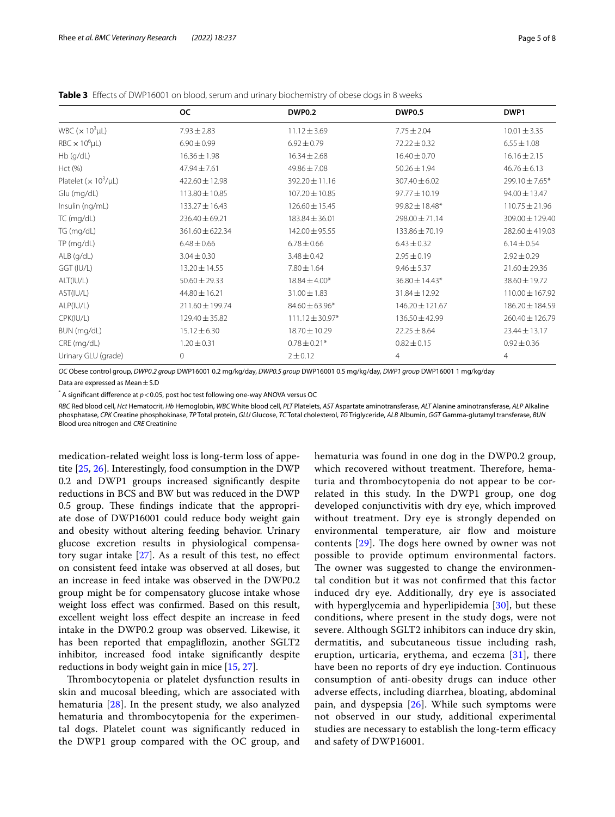<span id="page-4-0"></span>

|  |  |  |  | <b>Table 3</b> Effects of DWP16001 on blood, serum and urinary biochemistry of obese dogs in 8 weeks |
|--|--|--|--|------------------------------------------------------------------------------------------------------|
|--|--|--|--|------------------------------------------------------------------------------------------------------|

|                                          | <b>OC</b>          | <b>DWP0.2</b>       | <b>DWP0.5</b>     | DWP1               |
|------------------------------------------|--------------------|---------------------|-------------------|--------------------|
| WBC ( $\times$ 10 <sup>3</sup> µL)       | $7.93 \pm 2.83$    | $11.12 \pm 3.69$    | $7.75 \pm 2.04$   | $10.01 \pm 3.35$   |
| $RBC \times 10^6 \mu L$                  | $6.90 \pm 0.99$    | $6.92 \pm 0.79$     | $72.22 \pm 0.32$  | $6.55 \pm 1.08$    |
| Hb (g/dL)                                | $16.36 \pm 1.98$   | $16.34 \pm 2.68$    | $16.40 \pm 0.70$  | $16.16 \pm 2.15$   |
| Hct (%)                                  | $47.94 \pm 7.61$   | $49.86 \pm 7.08$    | $50.26 \pm 1.94$  | $46.76 \pm 6.13$   |
| Platelet ( $\times$ 10 <sup>3</sup> /µL) | $422.60 \pm 12.98$ | 392.20 ± 11.16      | $307.40 \pm 6.02$ | 299.10 ± 7.65*     |
| Glu (mg/dL)                              | $113.80 \pm 10.85$ | $107.20 \pm 10.85$  | 97.77 ± 10.19     | 94.00 ± 13.47      |
| Insulin (ng/mL)                          | $133.27 \pm 16.43$ | $126.60 \pm 15.45$  | 99.82 ± 18.48*    | $110.75 \pm 21.96$ |
| TC (mg/dL)                               | $236.40 \pm 69.21$ | $183.84 \pm 36.01$  | 298.00±71.14      | 309.00 ± 129.40    |
| TG (mg/dL)                               | 361.60 ± 622.34    | 142.00 ± 95.55      | 133.86 ± 70.19    | 282.60 ± 419.03    |
| TP (mg/dL)                               | $6.48 \pm 0.66$    | $6.78 \pm 0.66$     | $6.43 \pm 0.32$   | $6.14 \pm 0.54$    |
| $ALB$ (g/dL)                             | $3.04 \pm 0.30$    | $3.48 \pm 0.42$     | $2.95 \pm 0.19$   | $2.92 \pm 0.29$    |
| GGT (IU/L)                               | 13.20 ± 14.55      | $7.80 \pm 1.64$     | $9.46 \pm 5.37$   | $21.60 \pm 29.36$  |
| ALT(IU/L)                                | $50.60 \pm 29.33$  | $18.84 \pm 4.00*$   | 36.80 ± 14.43*    | 38.60±19.72        |
| AST(IU/L)                                | 44.80 ± 16.21      | $31.00 \pm 1.83$    | 31.84±12.92       | 110.00 ± 167.92    |
| ALP(IU/L)                                | 211.60 ± 199.74    | $84.60 \pm 63.96*$  | 146.20 ± 121.67   | 186.20 ± 184.59    |
| CPK(IU/L)                                | 129.40 ± 35.82     | $111.12 \pm 30.97*$ | 136.50 ± 42.99    | 260.40 ± 126.79    |
| BUN (mg/dL)                              | $15.12 \pm 6.30$   | 18.70 ± 10.29       | $22.25 \pm 8.64$  | $23.44 \pm 13.17$  |
| CRE (mg/dL)                              | $1.20 \pm 0.31$    | $0.78 \pm 0.21*$    | $0.82 \pm 0.15$   | $0.92 \pm 0.36$    |
| Urinary GLU (grade)                      | 0                  | $2 + 0.12$          | 4                 | $\overline{4}$     |

*OC* Obese control group, *DWP0.2 group* DWP16001 0.2 mg/kg/day, *DWP0.5 group* DWP16001 0.5 mg/kg/day, *DWP1 group* DWP16001 1 mg/kg/day

Data are expressed as Mean  $\pm$  S.D

\* A signifcant diference at *p*<0.05, post hoc test following one‐way ANOVA versus OC

*RBC* Red blood cell, *Hct* Hematocrit, *Hb* Hemoglobin, *WBC* White blood cell, *PLT* Platelets, *AST* Aspartate aminotransferase, *ALT* Alanine aminotransferase, *ALP* Alkaline phosphatase, *CPK* Creatine phosphokinase, *TP* Total protein, *GLU* Glucose, *TC* Total cholesterol, *TG* Triglyceride, *ALB* Albumin, *GGT* Gamma-glutamyl transferase, *BUN* Blood urea nitrogen and *CRE* Creatinine

medication-related weight loss is long-term loss of appetite [[25,](#page-7-16) [26](#page-7-17)]. Interestingly, food consumption in the DWP 0.2 and DWP1 groups increased signifcantly despite reductions in BCS and BW but was reduced in the DWP 0.5 group. These findings indicate that the appropriate dose of DWP16001 could reduce body weight gain and obesity without altering feeding behavior. Urinary glucose excretion results in physiological compensatory sugar intake  $[27]$  $[27]$ . As a result of this test, no effect on consistent feed intake was observed at all doses, but an increase in feed intake was observed in the DWP0.2 group might be for compensatory glucose intake whose weight loss efect was confrmed. Based on this result, excellent weight loss efect despite an increase in feed intake in the DWP0.2 group was observed. Likewise, it has been reported that empagliflozin, another SGLT2 inhibitor, increased food intake signifcantly despite reductions in body weight gain in mice [\[15](#page-7-7), [27\]](#page-7-18).

Thrombocytopenia or platelet dysfunction results in skin and mucosal bleeding, which are associated with hematuria [[28\]](#page-7-19). In the present study, we also analyzed hematuria and thrombocytopenia for the experimental dogs. Platelet count was signifcantly reduced in the DWP1 group compared with the OC group, and hematuria was found in one dog in the DWP0.2 group, which recovered without treatment. Therefore, hematuria and thrombocytopenia do not appear to be correlated in this study. In the DWP1 group, one dog developed conjunctivitis with dry eye, which improved without treatment. Dry eye is strongly depended on environmental temperature, air flow and moisture contents  $[29]$  $[29]$ . The dogs here owned by owner was not possible to provide optimum environmental factors. The owner was suggested to change the environmental condition but it was not confrmed that this factor induced dry eye. Additionally, dry eye is associated with hyperglycemia and hyperlipidemia [\[30](#page-7-21)], but these conditions, where present in the study dogs, were not severe. Although SGLT2 inhibitors can induce dry skin, dermatitis, and subcutaneous tissue including rash, eruption, urticaria, erythema, and eczema [[31\]](#page-7-22), there have been no reports of dry eye induction. Continuous consumption of anti-obesity drugs can induce other adverse efects, including diarrhea, bloating, abdominal pain, and dyspepsia [[26\]](#page-7-17). While such symptoms were not observed in our study, additional experimental studies are necessary to establish the long-term efficacy and safety of DWP16001.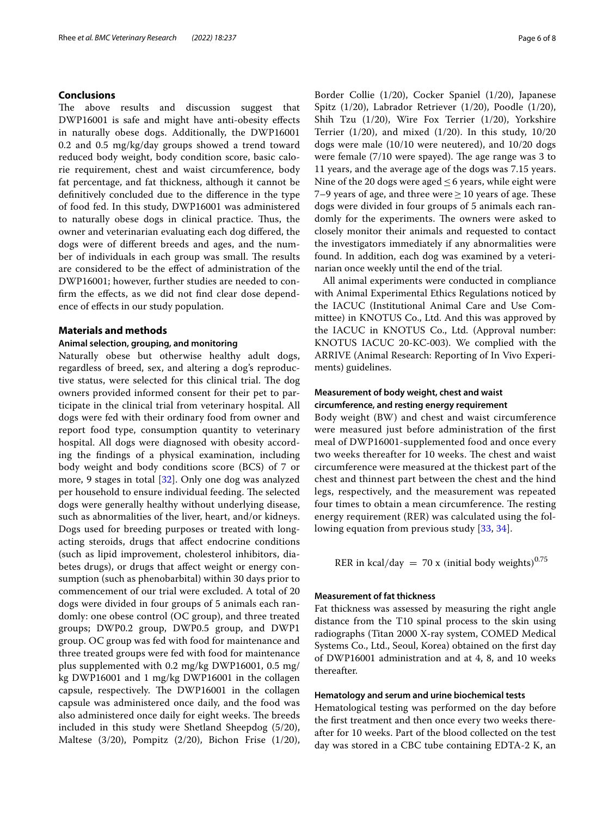## **Conclusions**

The above results and discussion suggest that DWP16001 is safe and might have anti-obesity efects in naturally obese dogs. Additionally, the DWP16001 0.2 and 0.5 mg/kg/day groups showed a trend toward reduced body weight, body condition score, basic calorie requirement, chest and waist circumference, body fat percentage, and fat thickness, although it cannot be defnitively concluded due to the diference in the type of food fed. In this study, DWP16001 was administered to naturally obese dogs in clinical practice. Tus, the owner and veterinarian evaluating each dog difered, the dogs were of diferent breeds and ages, and the number of individuals in each group was small. The results are considered to be the efect of administration of the DWP16001; however, further studies are needed to confrm the efects, as we did not fnd clear dose dependence of efects in our study population.

## **Materials and methods**

## **Animal selection, grouping, and monitoring**

Naturally obese but otherwise healthy adult dogs, regardless of breed, sex, and altering a dog's reproductive status, were selected for this clinical trial. The dog owners provided informed consent for their pet to participate in the clinical trial from veterinary hospital. All dogs were fed with their ordinary food from owner and report food type, consumption quantity to veterinary hospital. All dogs were diagnosed with obesity according the fndings of a physical examination, including body weight and body conditions score (BCS) of 7 or more, 9 stages in total [[32\]](#page-7-23). Only one dog was analyzed per household to ensure individual feeding. The selected dogs were generally healthy without underlying disease, such as abnormalities of the liver, heart, and/or kidneys. Dogs used for breeding purposes or treated with longacting steroids, drugs that afect endocrine conditions (such as lipid improvement, cholesterol inhibitors, diabetes drugs), or drugs that afect weight or energy consumption (such as phenobarbital) within 30 days prior to commencement of our trial were excluded. A total of 20 dogs were divided in four groups of 5 animals each randomly: one obese control (OC group), and three treated groups; DWP0.2 group, DWP0.5 group, and DWP1 group. OC group was fed with food for maintenance and three treated groups were fed with food for maintenance plus supplemented with 0.2 mg/kg DWP16001, 0.5 mg/ kg DWP16001 and 1 mg/kg DWP16001 in the collagen capsule, respectively. The DWP16001 in the collagen capsule was administered once daily, and the food was also administered once daily for eight weeks. The breeds included in this study were Shetland Sheepdog (5/20), Maltese (3/20), Pompitz (2/20), Bichon Frise (1/20), Border Collie (1/20), Cocker Spaniel (1/20), Japanese Spitz (1/20), Labrador Retriever (1/20), Poodle (1/20), Shih Tzu (1/20), Wire Fox Terrier (1/20), Yorkshire Terrier  $(1/20)$ , and mixed  $(1/20)$ . In this study,  $10/20$ dogs were male (10/10 were neutered), and 10/20 dogs were female  $(7/10$  were spayed). The age range was 3 to 11 years, and the average age of the dogs was 7.15 years. Nine of the 20 dogs were aged  $\leq$  6 years, while eight were 7–9 years of age, and three were  $\geq$  10 years of age. These dogs were divided in four groups of 5 animals each randomly for the experiments. The owners were asked to closely monitor their animals and requested to contact the investigators immediately if any abnormalities were found. In addition, each dog was examined by a veterinarian once weekly until the end of the trial.

All animal experiments were conducted in compliance with Animal Experimental Ethics Regulations noticed by the IACUC (Institutional Animal Care and Use Committee) in KNOTUS Co., Ltd. And this was approved by the IACUC in KNOTUS Co., Ltd. (Approval number: KNOTUS IACUC 20-KC-003). We complied with the ARRIVE (Animal Research: Reporting of In Vivo Experiments) guidelines.

## **Measurement of body weight, chest and waist circumference, and resting energy requirement**

Body weight (BW) and chest and waist circumference were measured just before administration of the frst meal of DWP16001-supplemented food and once every two weeks thereafter for 10 weeks. The chest and waist circumference were measured at the thickest part of the chest and thinnest part between the chest and the hind legs, respectively, and the measurement was repeated four times to obtain a mean circumference. The resting energy requirement (RER) was calculated using the following equation from previous study [[33,](#page-7-24) [34\]](#page-7-25).

RER in kcal/day = 70 x (initial body weights)<sup>0.75</sup>

## **Measurement of fat thickness**

Fat thickness was assessed by measuring the right angle distance from the T10 spinal process to the skin using radiographs (Titan 2000 X-ray system, COMED Medical Systems Co., Ltd., Seoul, Korea) obtained on the frst day of DWP16001 administration and at 4, 8, and 10 weeks thereafter.

## **Hematology and serum and urine biochemical tests**

Hematological testing was performed on the day before the frst treatment and then once every two weeks thereafter for 10 weeks. Part of the blood collected on the test day was stored in a CBC tube containing EDTA-2 K, an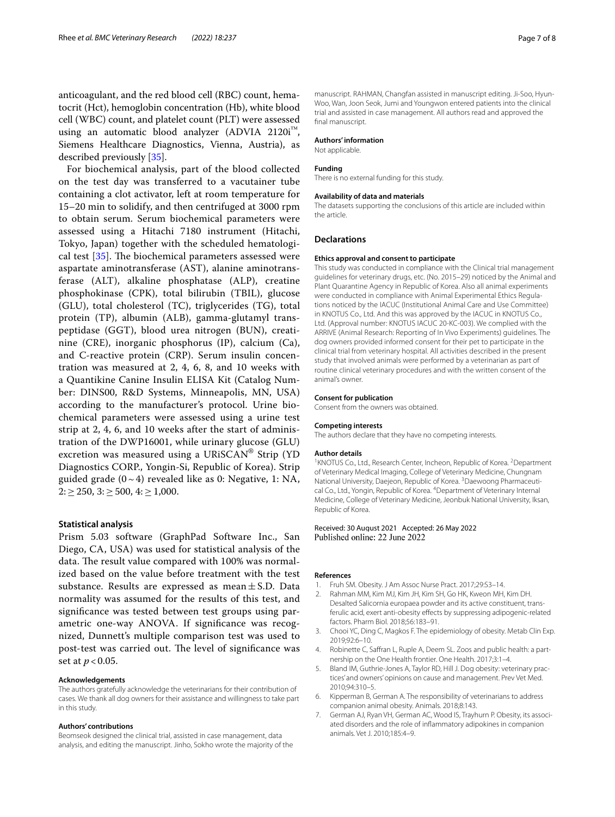anticoagulant, and the red blood cell (RBC) count, hematocrit (Hct), hemoglobin concentration (Hb), white blood cell (WBC) count, and platelet count (PLT) were assessed using an automatic blood analyzer (ADVIA 2120i™, Siemens Healthcare Diagnostics, Vienna, Austria), as described previously [\[35](#page-7-26)].

For biochemical analysis, part of the blood collected on the test day was transferred to a vacutainer tube containing a clot activator, left at room temperature for 15–20 min to solidify, and then centrifuged at 3000 rpm to obtain serum. Serum biochemical parameters were assessed using a Hitachi 7180 instrument (Hitachi, Tokyo, Japan) together with the scheduled hematological test  $[35]$  $[35]$ . The biochemical parameters assessed were aspartate aminotransferase (AST), alanine aminotransferase (ALT), alkaline phosphatase (ALP), creatine phosphokinase (CPK), total bilirubin (TBIL), glucose (GLU), total cholesterol (TC), triglycerides (TG), total protein (TP), albumin (ALB), gamma-glutamyl transpeptidase (GGT), blood urea nitrogen (BUN), creatinine (CRE), inorganic phosphorus (IP), calcium (Ca), and C-reactive protein (CRP). Serum insulin concentration was measured at 2, 4, 6, 8, and 10 weeks with a Quantikine Canine Insulin ELISA Kit (Catalog Number: DINS00, R&D Systems, Minneapolis, MN, USA) according to the manufacturer's protocol. Urine biochemical parameters were assessed using a urine test strip at 2, 4, 6, and 10 weeks after the start of administration of the DWP16001, while urinary glucose (GLU) excretion was measured using a URiSCAN® Strip (YD Diagnostics CORP., Yongin-Si, Republic of Korea). Strip guided grade  $(0-4)$  revealed like as 0: Negative, 1: NA,  $2: \geq 250$ ,  $3: \geq 500$ ,  $4: \geq 1,000$ .

## **Statistical analysis**

Prism 5.03 software (GraphPad Software Inc., San Diego, CA, USA) was used for statistical analysis of the data. The result value compared with 100% was normalized based on the value before treatment with the test substance. Results are expressed as mean $\pm$  S.D. Data normality was assumed for the results of this test, and signifcance was tested between test groups using parametric one-way ANOVA. If signifcance was recognized, Dunnett's multiple comparison test was used to post-test was carried out. The level of significance was set at *p* < 0.05.

#### **Acknowledgements**

The authors gratefully acknowledge the veterinarians for their contribution of cases. We thank all dog owners for their assistance and willingness to take part in this study.

#### **Authors' contributions**

Beomseok designed the clinical trial, assisted in case management, data analysis, and editing the manuscript. Jinho, Sokho wrote the majority of the

manuscript. RAHMAN, Changfan assisted in manuscript editing. Ji-Soo, Hyun-Woo, Wan, Joon Seok, Jumi and Youngwon entered patients into the clinical trial and assisted in case management. All authors read and approved the fnal manuscript.

#### **Authors' information**

Not applicable.

#### **Funding**

There is no external funding for this study.

#### **Availability of data and materials**

The datasets supporting the conclusions of this article are included within the article.

#### **Declarations**

#### **Ethics approval and consent to participate**

This study was conducted in compliance with the Clinical trial management guidelines for veterinary drugs, etc. (No. 2015–29) noticed by the Animal and Plant Quarantine Agency in Republic of Korea. Also all animal experiments were conducted in compliance with Animal Experimental Ethics Regulations noticed by the IACUC (Institutional Animal Care and Use Committee) in KNOTUS Co., Ltd. And this was approved by the IACUC in KNOTUS Co., Ltd. (Approval number: KNOTUS IACUC 20-KC-003). We complied with the ARRIVE (Animal Research: Reporting of In Vivo Experiments) guidelines. The dog owners provided informed consent for their pet to participate in the clinical trial from veterinary hospital. All activities described in the present study that involved animals were performed by a veterinarian as part of routine clinical veterinary procedures and with the written consent of the animal's owner.

#### **Consent for publication**

Consent from the owners was obtained.

#### **Competing interests**

The authors declare that they have no competing interests.

#### **Author details**

<sup>1</sup> KNOTUS Co., Ltd., Research Center, Incheon, Republic of Korea. <sup>2</sup> Department of Veterinary Medical Imaging, College of Veterinary Medicine, Chungnam National University, Daejeon, Republic of Korea. <sup>3</sup> Daewoong Pharmaceutical Co., Ltd., Yongin, Republic of Korea. <sup>4</sup> Department of Veterinary Internal Medicine, College of Veterinary Medicine, Jeonbuk National University, Iksan, Republic of Korea.

## Received: 30 August 2021 Accepted: 26 May 2022 Published online: 22 June 2022

#### **References**

- <span id="page-6-0"></span>1. Fruh SM. Obesity. J Am Assoc Nurse Pract. 2017;29:S3–14.
- <span id="page-6-1"></span>2. Rahman MM, Kim MJ, Kim JH, Kim SH, Go HK, Kweon MH, Kim DH. Desalted Salicornia europaea powder and its active constituent, transferulic acid, exert anti-obesity effects by suppressing adipogenic-related factors. Pharm Biol. 2018;56:183–91.
- <span id="page-6-2"></span>3. Chooi YC, Ding C, Magkos F. The epidemiology of obesity. Metab Clin Exp. 2019;92:6–10.
- <span id="page-6-3"></span>4. Robinette C, Saffran L, Ruple A, Deem SL. Zoos and public health: a partnership on the One Health frontier. One Health. 2017;3:1–4.
- <span id="page-6-4"></span>5. Bland IM, Guthrie-Jones A, Taylor RD, Hill J. Dog obesity: veterinary practices' and owners' opinions on cause and management. Prev Vet Med. 2010;94:310–5.
- <span id="page-6-5"></span>6. Kipperman B, German A. The responsibility of veterinarians to address companion animal obesity. Animals. 2018;8:143.
- <span id="page-6-6"></span>7. German AJ, Ryan VH, German AC, Wood IS, Trayhurn P. Obesity, its associated disorders and the role of infammatory adipokines in companion animals. Vet J. 2010;185:4–9.